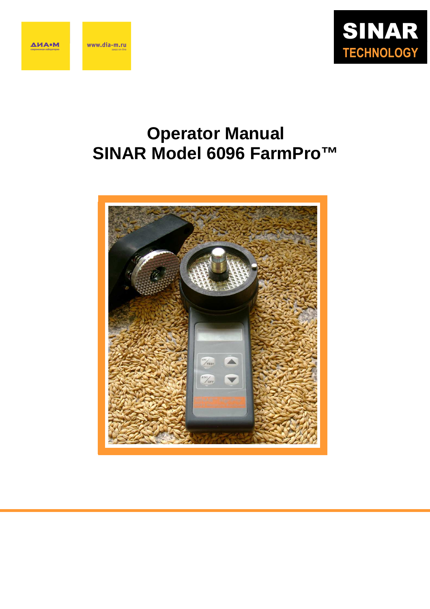

# **Operator Manual SINAR Model 6096 FarmPro™**

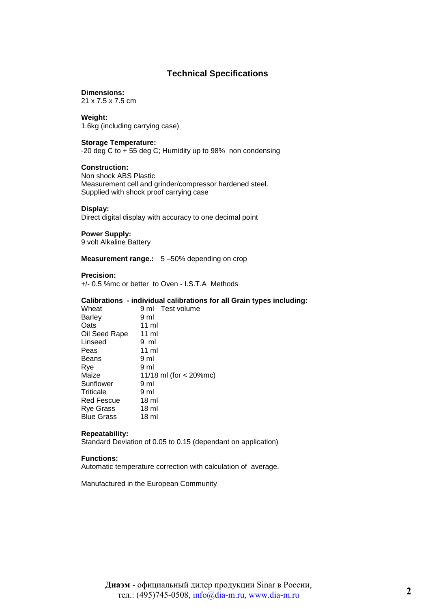### **Technical Specifications**

#### **Dimensions:**

21 x 7.5 x 7.5 cm

#### **Weight:**

1.6kg (including carrying case)

#### **Storage Temperature:**

-20 deg C to + 55 deg C; Humidity up to 98% non condensing

#### **Construction:**

Non shock ABS Plastic Measurement cell and grinder/compressor hardened steel. Supplied with shock proof carrying case

#### **Display:**

Direct digital display with accuracy to one decimal point

#### **Power Supply:**

9 volt Alkaline Battery

**Measurement range.:** 5 –50% depending on crop

#### **Precision:**

+/- 0.5 %mc or better to Oven - I.S.T.A Methods

#### **Calibrations - individual calibrations for all Grain types including:**

| Wheat             | 9 ml Test volume         |
|-------------------|--------------------------|
| Barley            | 9 ml                     |
| Oats              | $11 \text{ ml}$          |
| Oil Seed Rape     | 11 ml                    |
| Linseed           | 9 ml                     |
| Peas              | 11 ml                    |
| Beans             | 9 ml                     |
| Rve               | 9 ml                     |
| Maize             | 11/18 ml (for $<$ 20%mc) |
| Sunflower         | 9 ml                     |
| Triticale         | 9 ml                     |
| Red Fescue        | 18 ml                    |
| Rye Grass         | 18 ml                    |
| <b>Blue Grass</b> | 18 <sub>m</sub>          |

#### **Repeatability:**

Standard Deviation of 0.05 to 0.15 (dependant on application)

#### **Functions:**

Automatic temperature correction with calculation of average.

Manufactured in the European Community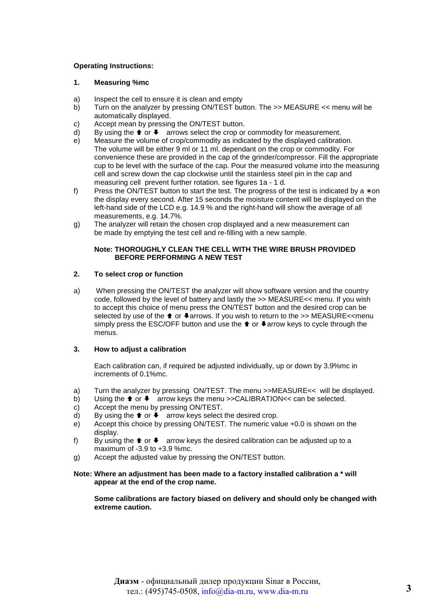#### **Operating Instructions:**

#### **1. Measuring %mc**

- a) Inspect the cell to ensure it is clean and empty
- b) Turn on the analyzer by pressing ON/TEST button. The >> MEASURE << menu will be automatically displayed.
- c) Accept mean by pressing the ON/TEST button.
- $d$ ) By using the  $\bigstar$  or  $\bigstar$  arrows select the crop or commodity for measurement.
- e) Measure the volume of crop/commodity as indicated by the displayed calibration. The volume will be either 9 ml or 11 ml. dependant on the crop or commodity. For convenience these are provided in the cap of the grinder/compressor. Fill the appropriate cup to be level with the surface of the cap. Pour the measured volume into the measuring cell and screw down the cap clockwise until the stainless steel pin in the cap and measuring cell prevent further rotation. see figures 1a - 1 d.
- f) Press the ON/TEST button to start the test. The progress of the test is indicated by a  $*$  on the display every second. After 15 seconds the moisture content will be displayed on the left-hand side of the LCD e.g. 14.9 % and the right-hand will show the average of all measurements, e.g. 14.7%.
- g) The analyzer will retain the chosen crop displayed and a new measurement can be made by emptying the test cell and re-filling with a new sample.

#### **Note: THOROUGHLY CLEAN THE CELL WITH THE WIRE BRUSH PROVIDED BEFORE PERFORMING A NEW TEST**

#### **2. To select crop or function**

a) When pressing the ON/TEST the analyzer will show software version and the country code, followed by the level of battery and lastly the >> MEASURE<< menu. If you wish to accept this choice of menu press the ON/TEST button and the desired crop can be selected by use of the  $\triangle$  or  $\triangle$  arrows. If you wish to return to the >> MEASURE<<menu simply press the ESC/OFF button and use the  $\triangle$  or  $\triangle$  arrow keys to cycle through the menus.

#### **3. How to adjust a calibration**

Each calibration can, if required be adjusted individually, up or down by 3.9%mc in increments of 0.1%mc.

- a) Turn the analyzer by pressing ON/TEST. The menu >>MEASURE<< will be displayed.
- b) Using the  $\uparrow$  or  $\downarrow$  arrow keys the menu >>CALIBRATION<< can be selected.
- c) Accept the menu by pressing ON/TEST.
- d) By using the  $\blacklozenge$  or  $\blacklozenge$  arrow keys select the desired crop.
- e) Accept this choice by pressing ON/TEST. The numeric value +0.0 is shown on the display.
- f) By using the  $\triangleq$  or  $\blacktriangleright$  arrow keys the desired calibration can be adjusted up to a maximum of  $-3.9$  to  $+3.9$  % mc.
- g) Accept the adjusted value by pressing the ON/TEST button.

#### **Note: Where an adjustment has been made to a factory installed calibration a \* will appear at the end of the crop name.**

**Some calibrations are factory biased on delivery and should only be changed with extreme caution.**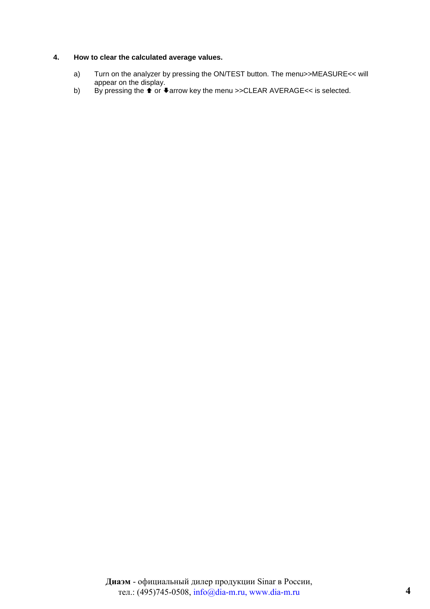#### **4. How to clear the calculated average values.**

- a) Turn on the analyzer by pressing the ON/TEST button. The menu>>MEASURE<< will appear on the display.
- b) By pressing the  $\triangle$  or  $\triangle$  arrow key the menu >>CLEAR AVERAGE<< is selected.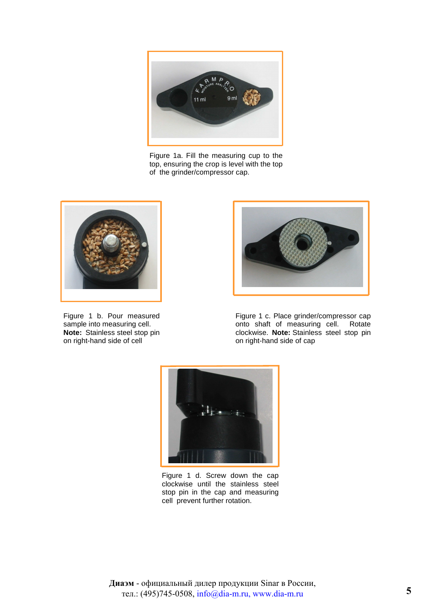

Figure 1a. Fill the measuring cup to the top, ensuring the crop is level with the top of the grinder/compressor cap.



Figure 1 b. Pour measured sample into measuring cell. **Note:** Stainless steel stop pin on right-hand side of cell



Figure 1 c. Place grinder/compressor cap onto shaft of measuring cell. Rotate clockwise. **Note:** Stainless steel stop pin on right-hand side of cap



Figure 1 d. Screw down the cap clockwise until the stainless steel stop pin in the cap and measuring cell prevent further rotation.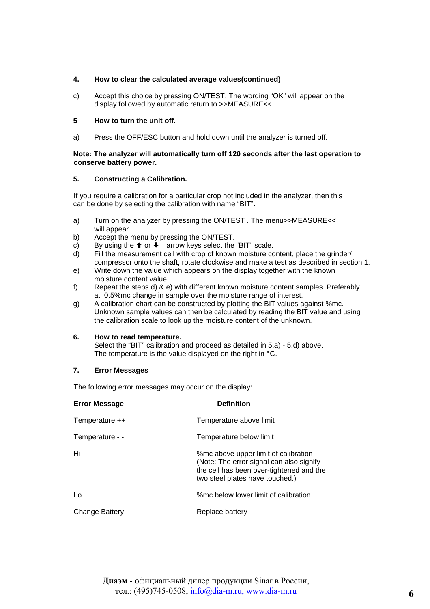#### **4. How to clear the calculated average values(continued)**

c) Accept this choice by pressing ON/TEST. The wording "OK" will appear on the display followed by automatic return to >>MEASURE<<.

#### **5 How to turn the unit off.**

a) Press the OFF/ESC button and hold down until the analyzer is turned off.

#### **Note: The analyzer will automatically turn off 120 seconds after the last operation to conserve battery power.**

#### **5. Constructing a Calibration.**

 If you require a calibration for a particular crop not included in the analyzer, then this can be done by selecting the calibration with name "BIT"**.** 

- a) Turn on the analyzer by pressing the ON/TEST. The menu>>MEASURE<< will appear.
- b) Accept the menu by pressing the ON/TEST.
- c) By using the  $\uparrow$  or  $\downarrow$  arrow keys select the "BIT" scale.
- d) Fill the measurement cell with crop of known moisture content, place the grinder/ compressor onto the shaft, rotate clockwise and make a test as described in section 1.
- e) Write down the value which appears on the display together with the known moisture content value.
- f) Repeat the steps d) & e) with different known moisture content samples. Preferably at 0.5%mc change in sample over the moisture range of interest.
- g) A calibration chart can be constructed by plotting the BIT values against %mc. Unknown sample values can then be calculated by reading the BIT value and using the calibration scale to look up the moisture content of the unknown.

#### **6. How to read temperature.**

Select the "BIT" calibration and proceed as detailed in 5.a) - 5.d) above. The temperature is the value displayed on the right in °C.

#### **7. Error Messages**

The following error messages may occur on the display:

| <b>Error Message</b> | <b>Definition</b>                                                                                                                                               |
|----------------------|-----------------------------------------------------------------------------------------------------------------------------------------------------------------|
| Temperature ++       | Temperature above limit                                                                                                                                         |
| Temperature - -      | Temperature below limit                                                                                                                                         |
| Hi                   | %mc above upper limit of calibration<br>(Note: The error signal can also signify<br>the cell has been over-tightened and the<br>two steel plates have touched.) |
| Lo                   | %mc below lower limit of calibration                                                                                                                            |
| Change Battery       | Replace battery                                                                                                                                                 |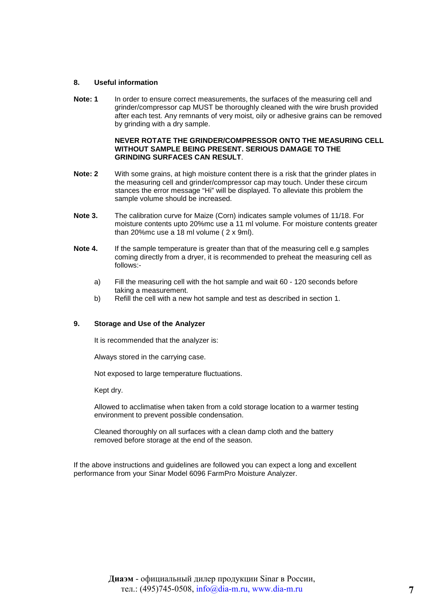#### **8. Useful information**

Note: 1 In order to ensure correct measurements, the surfaces of the measuring cell and grinder/compressor cap MUST be thoroughly cleaned with the wire brush provided after each test. Any remnants of very moist, oily or adhesive grains can be removed by grinding with a dry sample.

#### **NEVER ROTATE THE GRINDER/COMPRESSOR ONTO THE MEASURING CELL WITHOUT SAMPLE BEING PRESENT. SERIOUS DAMAGE TO THE GRINDING SURFACES CAN RESULT**.

- **Note: 2** With some grains, at high moisture content there is a risk that the grinder plates in the measuring cell and grinder/compressor cap may touch. Under these circum stances the error message "Hi" will be displayed. To alleviate this problem the sample volume should be increased.
- **Note 3.** The calibration curve for Maize (Corn) indicates sample volumes of 11/18. For moisture contents upto 20%mc use a 11 ml volume. For moisture contents greater than 20%mc use a 18 ml volume ( 2 x 9ml).
- **Note 4.** If the sample temperature is greater than that of the measuring cell e.g samples coming directly from a dryer, it is recommended to preheat the measuring cell as follows:
	- a) Fill the measuring cell with the hot sample and wait 60 120 seconds before taking a measurement.
	- b) Refill the cell with a new hot sample and test as described in section 1.

#### **9. Storage and Use of the Analyzer**

It is recommended that the analyzer is:

Always stored in the carrying case.

Not exposed to large temperature fluctuations.

Kept dry.

Allowed to acclimatise when taken from a cold storage location to a warmer testing environment to prevent possible condensation.

Cleaned thoroughly on all surfaces with a clean damp cloth and the battery removed before storage at the end of the season.

If the above instructions and guidelines are followed you can expect a long and excellent performance from your Sinar Model 6096 FarmPro Moisture Analyzer.